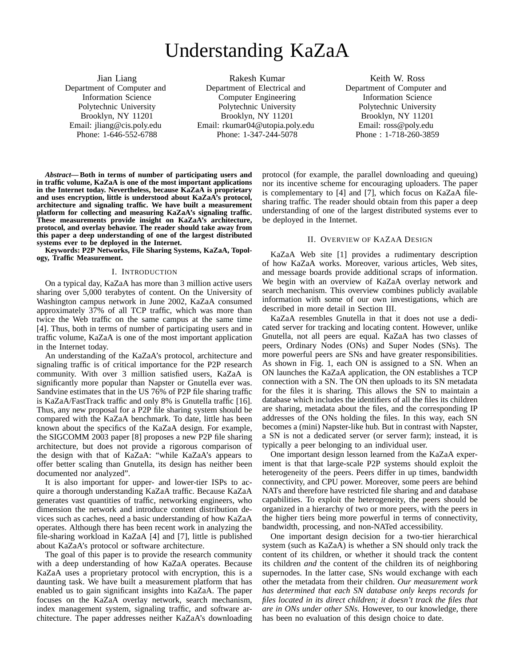# Understanding KaZaA

Jian Liang Department of Computer and Information Science Polytechnic University Brooklyn, NY 11201 Email: jliang@cis.poly.edu Phone: 1-646-552-6788

Rakesh Kumar Department of Electrical and Computer Engineering Polytechnic University Brooklyn, NY 11201 Email: rkumar04@utopia.poly.edu Phone: 1-347-244-5078

Keith W. Ross Department of Computer and Information Science Polytechnic University Brooklyn, NY 11201 Email: ross@poly.edu Phone : 1-718-260-3859

*Abstract***— Both in terms of number of participating users and in traffic volume, KaZaA is one of the most important applications in the Internet today. Nevertheless, because KaZaA is proprietary and uses encryption, little is understood about KaZaA's protocol, architecture and signaling traffic. We have built a measurement platform for collecting and measuring KaZaA's signaling traffic. These measurements provide insight on KaZaA's architecture, protocol, and overlay behavior. The reader should take away from this paper a deep understanding of one of the largest distributed systems ever to be deployed in the Internet.**

**Keywords: P2P Networks, File Sharing Systems, KaZaA, Topology, Traffic Measurement.**

#### I. INTRODUCTION

On a typical day, KaZaA has more than 3 million active users sharing over 5,000 terabytes of content. On the University of Washington campus network in June 2002, KaZaA consumed approximately 37% of all TCP traffic, which was more than twice the Web traffic on the same campus at the same time [4]. Thus, both in terms of number of participating users and in traffic volume, KaZaA is one of the most important application in the Internet today.

An understanding of the KaZaA's protocol, architecture and signaling traffic is of critical importance for the P2P research community. With over 3 million satisfied users, KaZaA is significantly more popular than Napster or Gnutella ever was. Sandvine estimates that in the US 76% of P2P file sharing traffic is KaZaA/FastTrack traffic and only 8% is Gnutella traffic [16]. Thus, any new proposal for a P2P file sharing system should be compared with the KaZaA benchmark. To date, little has been known about the specifics of the KaZaA design. For example, the SIGCOMM 2003 paper [8] proposes a new P2P file sharing architecture, but does not provide a rigorous comparison of the design with that of KaZaA: "while KaZaA's appears to offer better scaling than Gnutella, its design has neither been documented nor analyzed".

It is also important for upper- and lower-tier ISPs to acquire a thorough understanding KaZaA traffic. Because KaZaA generates vast quantities of traffic, networking engineers, who dimension the network and introduce content distribution devices such as caches, need a basic understanding of how KaZaA operates. Although there has been recent work in analyzing the file-sharing workload in KaZaA [4] and [7], little is published about KaZaA's protocol or software architecture.

The goal of this paper is to provide the research community with a deep understanding of how KaZaA operates. Because KaZaA uses a proprietary protocol with encryption, this is a daunting task. We have built a measurement platform that has enabled us to gain significant insights into KaZaA. The paper focuses on the KaZaA overlay network, search mechanism, index management system, signaling traffic, and software architecture. The paper addresses neither KaZaA's downloading

protocol (for example, the parallel downloading and queuing) nor its incentive scheme for encouraging uploaders. The paper is complementary to [4] and [7], which focus on KaZaA filesharing traffic. The reader should obtain from this paper a deep understanding of one of the largest distributed systems ever to be deployed in the Internet.

## II. OVERVIEW OF KAZAA DESIGN

KaZaA Web site [1] provides a rudimentary description of how KaZaA works. Moreover, various articles, Web sites, and message boards provide additional scraps of information. We begin with an overview of KaZaA overlay network and search mechanism. This overview combines publicly available information with some of our own investigations, which are described in more detail in Section III.

KaZaA resembles Gnutella in that it does not use a dedicated server for tracking and locating content. However, unlike Gnutella, not all peers are equal. KaZaA has two classes of peers, Ordinary Nodes (ONs) and Super Nodes (SNs). The more powerful peers are SNs and have greater responsibilities. As shown in Fig. 1, each ON is assigned to a SN. When an ON launches the KaZaA application, the ON establishes a TCP connection with a SN. The ON then uploads to its SN metadata for the files it is sharing. This allows the SN to maintain a database which includes the identifiers of all the files its children are sharing, metadata about the files, and the corresponding IP addresses of the ONs holding the files. In this way, each SN becomes a (mini) Napster-like hub. But in contrast with Napster, a SN is not a dedicated server (or server farm); instead, it is typically a peer belonging to an individual user.

One important design lesson learned from the KaZaA experiment is that that large-scale P2P systems should exploit the heterogeneity of the peers. Peers differ in up times, bandwidth connectivity, and CPU power. Moreover, some peers are behind NATs and therefore have restricted file sharing and and database capabilities. To exploit the heterogeneity, the peers should be organized in a hierarchy of two or more peers, with the peers in the higher tiers being more powerful in terms of connectivity, bandwidth, processing, and non-NATed accessibility.

One important design decision for a two-tier hierarchical system (such as KaZaA) is whether a SN should only track the content of its children, or whether it should track the content its children *and* the content of the children its of neighboring supernodes. In the latter case, SNs would exchange with each other the metadata from their children. *Our measurement work has determined that each SN database only keeps records for files located in its direct children; it doesn't track the files that are in ONs under other SNs.* However, to our knowledge, there has been no evaluation of this design choice to date.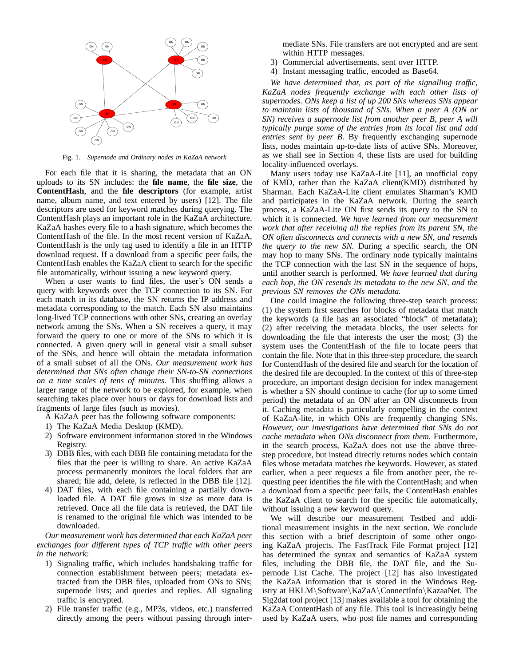

Fig. 1. *Supernode and Ordinary nodes in KaZaA network*

For each file that it is sharing, the metadata that an ON uploads to its SN includes: the **file name**, the **file size**, the **ContentHash**, and the **file descriptors** (for example, artist name, album name, and text entered by users) [12]. The file descriptors are used for keyword matches during querying. The ContentHash plays an important role in the KaZaA architecture. KaZaA hashes every file to a hash signature, which becomes the ContentHash of the file. In the most recent version of KaZaA, ContentHash is the only tag used to identify a file in an HTTP download request. If a download from a specific peer fails, the ContentHash enables the KaZaA client to search for the specific file automatically, without issuing a new keyword query.

When a user wants to find files, the user's ON sends a query with keywords over the TCP connection to its SN. For each match in its database, the SN returns the IP address and metadata corresponding to the match. Each SN also maintains long-lived TCP connections with other SNs, creating an overlay network among the SNs. When a SN receives a query, it may forward the query to one or more of the SNs to which it is connected. A given query will in general visit a small subset of the SNs, and hence will obtain the metadata information of a small subset of all the ONs. *Our measurement work has determined that SNs often change their SN-to-SN connections on a time scales of tens of minutes.* This shuffling allows a larger range of the network to be explored, for example, when searching takes place over hours or days for download lists and fragments of large files (such as movies).

- A KaZaA peer has the following software components:
- 1) The KaZaA Media Desktop (KMD).
- 2) Software environment information stored in the Windows Registry.
- 3) DBB files, with each DBB file containing metadata for the files that the peer is willing to share. An active KaZaA process permanently monitors the local folders that are shared; file add, delete, is reflected in the DBB file [12].
- 4) DAT files, with each file containing a partially downloaded file. A DAT file grows in size as more data is retrieved. Once all the file data is retrieved, the DAT file is renamed to the original file which was intended to be downloaded.

*Our measurement work has determined that each KaZaA peer exchanges four different types of TCP traffic with other peers in the network:*

- 1) Signaling traffic, which includes handshaking traffic for connection establishment between peers; metadata extracted from the DBB files, uploaded from ONs to SNs; supernode lists; and queries and replies. All signaling traffic is encrypted.
- 2) File transfer traffic (e.g., MP3s, videos, etc.) transferred directly among the peers without passing through inter-

mediate SNs. File transfers are not encrypted and are sent within HTTP messages.

- 3) Commercial advertisements, sent over HTTP.
- 4) Instant messaging traffic, encoded as Base64.

*We have determined that, as part of the signalling traffic, KaZaA nodes frequently exchange with each other lists of supernodes. ONs keep a list of up 200 SNs whereas SNs appear to maintain lists of thousand of SNs. When a peer A (ON or SN) receives a supernode list from another peer B, peer A will typically purge some of the entries from its local list and add entries sent by peer B.* By frequently exchanging supernode lists, nodes maintain up-to-date lists of active SNs. Moreover, as we shall see in Section 4, these lists are used for building locality-influenced overlays.

Many users today use KaZaA-Lite [11], an unofficial copy of KMD, rather than the KaZaA client(KMD) distributed by Sharman. Each KaZaA-Lite client emulates Sharman's KMD and participates in the KaZaA network. During the search process, a KaZaA-Lite ON first sends its query to the SN to which it is connected. *We have learned from our measurement work that after receiving all the replies from its parent SN, the ON often disconnects and connects with a new SN, and resends the query to the new SN.* During a specific search, the ON may hop to many SNs. The ordinary node typically maintains the TCP connection with the last SN in the sequence of hops, until another search is performed. *We have learned that during each hop, the ON resends its metadata to the new SN, and the previous SN removes the ONs metadata.*

One could imagine the following three-step search process: (1) the system first searches for blocks of metadata that match the keywords (a file has an associated "block" of metadata); (2) after receiving the metadata blocks, the user selects for downloading the file that interests the user the most; (3) the system uses the ContentHash of the file to locate peers that contain the file. Note that in this three-step procedure, the search for ContentHash of the desired file and search for the location of the desired file are decoupled. In the context of this of three-step procedure, an important design decision for index management is whether a SN should continue to cache (for up to some timed period) the metadata of an ON after an ON disconnects from it. Caching metadata is particularly compelling in the context of KaZaA-lite, in which ONs are frequently changing SNs. *However, our investigations have determined that SNs do not cache metadata when ONs disconnect from them.* Furthermore, in the search process, KaZaA does not use the above threestep procedure, but instead directly returns nodes which contain files whose metadata matches the keywords. However, as stated earlier, when a peer requests a file from another peer, the requesting peer identifies the file with the ContentHash; and when a download from a specific peer fails, the ContentHash enables the KaZaA client to search for the specific file automatically, without issuing a new keyword query.

We will describe our measurement Testbed and additional measurement insights in the next section. We conclude this section with a brief descriptoin of some other ongoing KaZaA projects. The FastTrack File Format project [12] has determined the syntax and semantics of KaZaA system files, including the DBB file, the DAT file, and the Supernode List Cache. The project [12] has also investigated the KaZaA information that is stored in the Windows Registry at HKLM\Software\KaZaA\ConnectInfo\KazaaNet. The Sig2dat tool project [13] makes available a tool for obtaining the KaZaA ContentHash of any file. This tool is increasingly being used by KaZaA users, who post file names and corresponding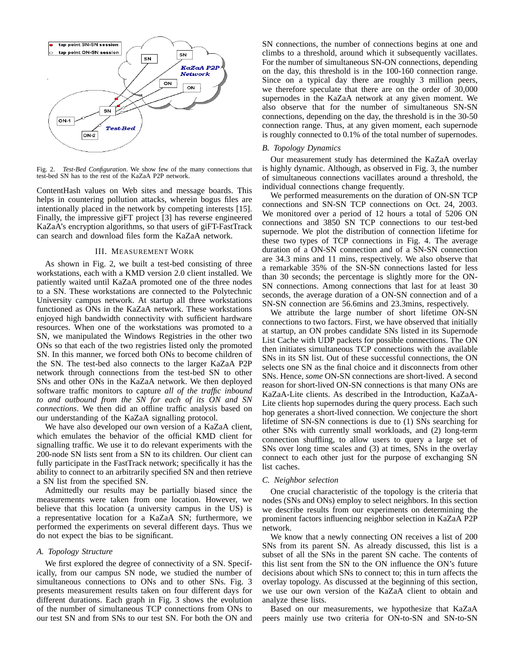

Fig. 2. *Test-Bed Configuration*. We show few of the many connections that test-bed SN has to the rest of the KaZaA P2P network.

ContentHash values on Web sites and message boards. This helps in countering pollution attacks, wherein bogus files are intentionally placed in the network by competing interests [15]. Finally, the impressive giFT project [3] has reverse engineered KaZaA's encryption algorithms, so that users of giFT-FastTrack can search and download files form the KaZaA network.

## III. MEASUREMENT WORK

As shown in Fig. 2, we built a test-bed consisting of three workstations, each with a KMD version 2.0 client installed. We patiently waited until KaZaA promoted one of the three nodes to a SN. These workstations are connected to the Polytechnic University campus network. At startup all three workstations functioned as ONs in the KaZaA network. These workstations enjoyed high bandwidth connectivity with sufficient hardware resources. When one of the workstations was promoted to a SN, we manipulated the Windows Registries in the other two ONs so that each of the two registries listed only the promoted SN. In this manner, we forced both ONs to become children of the SN. The test-bed also connects to the larger KaZaA P2P network through connections from the test-bed SN to other SNs and other ONs in the KaZaA network. We then deployed software traffic monitors to capture *all of the traffic inbound to and outbound from the SN for each of its ON and SN connections*. We then did an offline traffic analysis based on our understanding of the KaZaA signalling protocol.

We have also developed our own version of a KaZaA client, which emulates the behavior of the official KMD client for signalling traffic. We use it to do relevant experiments with the 200-node SN lists sent from a SN to its children. Our client can fully participate in the FastTrack network; specifically it has the ability to connect to an arbitrarily specified SN and then retrieve a SN list from the specified SN.

Admittedly our results may be partially biased since the measurements were taken from one location. However, we believe that this location (a university campus in the US) is a representative location for a KaZaA SN; furthermore, we performed the experiments on several different days. Thus we do not expect the bias to be significant.

## *A. Topology Structure*

We first explored the degree of connectivity of a SN. Specifically, from our campus SN node, we studied the number of simultaneous connections to ONs and to other SNs. Fig. 3 presents measurement results taken on four different days for different durations. Each graph in Fig. 3 shows the evolution of the number of simultaneous TCP connections from ONs to our test SN and from SNs to our test SN. For both the ON and

SN connections, the number of connections begins at one and climbs to a threshold, around which it subsequently vacillates. For the number of simultaneous SN-ON connections, depending on the day, this threshold is in the 100-160 connection range. Since on a typical day there are roughly 3 million peers, we therefore speculate that there are on the order of 30,000 supernodes in the KaZaA network at any given moment. We also observe that for the number of simultaneous SN-SN connections, depending on the day, the threshold is in the 30-50 connection range. Thus, at any given moment, each supernode is roughly connected to 0.1% of the total number of supernodes.

# *B. Topology Dynamics*

Our measurement study has determined the KaZaA overlay is highly dynamic. Although, as observed in Fig. 3, the number of simultaneous connections vacillates around a threshold, the individual connections change frequently.

We performed measurements on the duration of ON-SN TCP connections and SN-SN TCP connections on Oct. 24, 2003. We monitored over a period of 12 hours a total of 5206 ON connections and 3850 SN TCP connections to our test-bed supernode. We plot the distribution of connection lifetime for these two types of TCP connections in Fig. 4. The average duration of a ON-SN connection and of a SN-SN connection are 34.3 mins and 11 mins, respectively. We also observe that a remarkable 35% of the SN-SN connections lasted for less than 30 seconds; the percentage is slightly more for the ON-SN connections. Among connections that last for at least 30 seconds, the average duration of a ON-SN connection and of a SN-SN connection are 56.6mins and 23.3mins, respectively.

We attribute the large number of short lifetime ON-SN connections to two factors. First, we have observed that initially at startup, an ON probes candidate SNs listed in its Supernode List Cache with UDP packets for possible connections. The ON then initiates simultaneous TCP connections with the available SNs in its SN list. Out of these successful connections, the ON selects one SN as the final choice and it disconnects from other SNs. Hence, *some* ON-SN connections are short-lived. A second reason for short-lived ON-SN connections is that many ONs are KaZaA-Lite clients. As described in the Introduction, KaZaA-Lite clients hop supernodes during the query process. Each such hop generates a short-lived connection. We conjecture the short lifetime of SN-SN connections is due to (1) SNs searching for other SNs with currently small workloads, and (2) long-term connection shuffling, to allow users to query a large set of SNs over long time scales and (3) at times, SNs in the overlay connect to each other just for the purpose of exchanging SN list caches.

#### *C. Neighbor selection*

One crucial characteristic of the topology is the criteria that nodes (SNs and ONs) employ to select neighbors. In this section we describe results from our experiments on determining the prominent factors influencing neighbor selection in KaZaA P2P network.

We know that a newly connecting ON receives a list of 200 SNs from its parent SN. As already discussed, this list is a subset of all the SNs in the parent SN cache. The contents of this list sent from the SN to the ON influence the ON's future decisions about which SNs to connect to; this in turn affects the overlay topology. As discussed at the beginning of this section, we use our own version of the KaZaA client to obtain and analyze these lists.

Based on our measurements, we hypothesize that KaZaA peers mainly use two criteria for ON-to-SN and SN-to-SN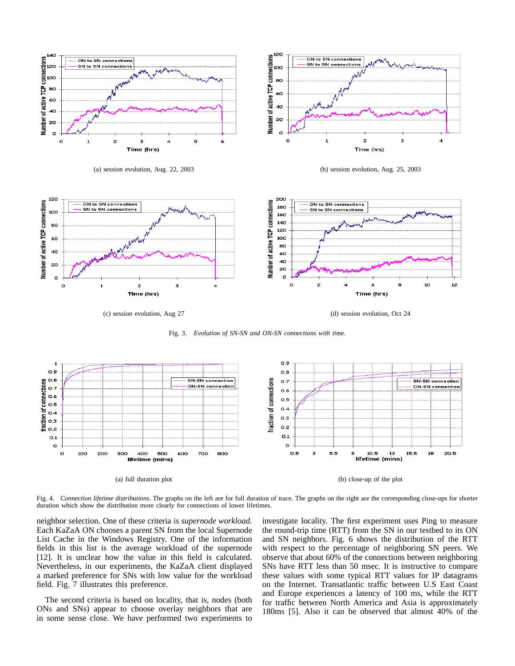







Fig. 3. *Evolution of SN-SN and ON-SN connections with time.*



Fig. 4. *Connection lifetime distributions*. The graphs on the left are for full duration of trace. The graphs on the right are the corresponding close-ups for shorter duration which show the distribution more clearly for connections of lower lifetimes.

neighbor selection. One of these criteria is *supernode workload*. Each KaZaA ON chooses a parent SN from the local Supernode List Cache in the Windows Registry. One of the information fields in this list is the average workload of the supernode [12]. It is unclear how the value in this field is calculated. Nevertheless, in our experiments, the KaZaA client displayed a marked preference for SNs with low value for the workload field. Fig. 7 illustrates this preference.

The second criteria is based on locality, that is, nodes (both ONs and SNs) appear to choose overlay neighbors that are in some sense close. We have performed two experiments to investigate locality. The first experiment uses Ping to measure the round-trip time (RTT) from the SN in our testbed to its ON and SN neighbors. Fig. 6 shows the distribution of the RTT with respect to the percentage of neighboring SN peers. We observe that about 60% of the connections between neighboring SNs have RTT less than 50 msec. It is instructive to compare these values with some typical RTT values for IP datagrams on the Internet. Transatlantic traffic between U.S East Coast and Europe experiences a latency of 100 ms, while the RTT for traffic between North America and Asia is approximately 180ms [5]. Also it can be observed that almost 40% of the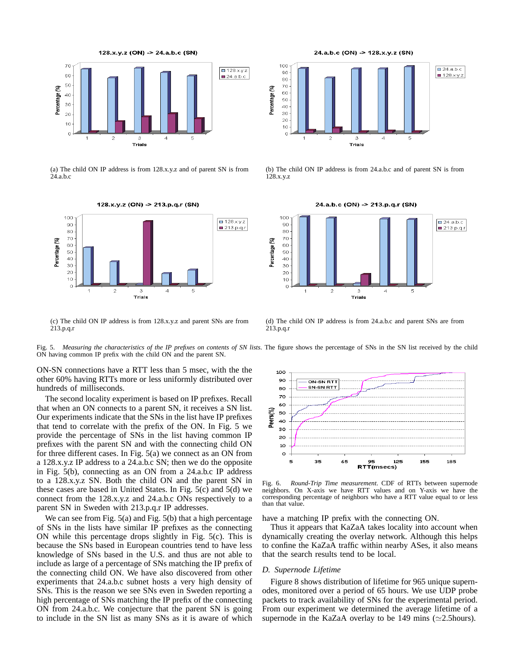

(a) The child ON IP address is from 128.x.y.z and of parent SN is from 24.a.b.c



(c) The child ON IP address is from 128.x.y.z and parent SNs are from 213.p.q.r



(b) The child ON IP address is from 24.a.b.c and of parent SN is from 128.x.y.z



(d) The child ON IP address is from 24.a.b.c and parent SNs are from 213.p.q.r

Fig. 5. *Measuring the characteristics of the IP prefixes on contents of SN lists*. The figure shows the percentage of SNs in the SN list received by the child ON having common IP prefix with the child ON and the parent SN.

ON-SN connections have a RTT less than 5 msec, with the the other 60% having RTTs more or less uniformly distributed over hundreds of milliseconds.

The second locality experiment is based on IP prefixes. Recall that when an ON connects to a parent SN, it receives a SN list. Our experiments indicate that the SNs in the list have IP prefixes that tend to correlate with the prefix of the ON. In Fig. 5 we provide the percentage of SNs in the list having common IP prefixes with the parent SN and with the connecting child ON for three different cases. In Fig. 5(a) we connect as an ON from a 128.x.y.z IP address to a 24.a.b.c SN; then we do the opposite in Fig. 5(b), connecting as an ON from a 24.a.b.c IP address to a 128.x.y.z SN. Both the child ON and the parent SN in these cases are based in United States. In Fig. 5(c) and 5(d) we connect from the 128.x.y.z and 24.a.b.c ONs respectively to a parent SN in Sweden with 213.p.q.r IP addresses.

We can see from Fig. 5(a) and Fig. 5(b) that a high percentage of SNs in the lists have similar IP prefixes as the connecting ON while this percentage drops slightly in Fig. 5(c). This is because the SNs based in European countries tend to have less knowledge of SNs based in the U.S. and thus are not able to include as large of a percentage of SNs matching the IP prefix of the connecting child ON. We have also discovered from other experiments that 24.a.b.c subnet hosts a very high density of SNs. This is the reason we see SNs even in Sweden reporting a high percentage of SNs matching the IP prefix of the connecting ON from 24.a.b.c. We conjecture that the parent SN is going to include in the SN list as many SNs as it is aware of which



Fig. 6. *Round-Trip Time measurement*. CDF of RTTs between supernode neighbors. On X-axis we have RTT values and on Y-axis we have the corresponding percentage of neighbors who have a RTT value equal to or less than that value.

have a matching IP prefix with the connecting ON.

Thus it appears that KaZaA takes locality into account when dynamically creating the overlay network. Although this helps to confine the KaZaA traffic within nearby ASes, it also means that the search results tend to be local.

## *D. Supernode Lifetime*

Figure 8 shows distribution of lifetime for 965 unique supernodes, monitored over a period of 65 hours. We use UDP probe packets to track availability of SNs for the experimental period. From our experiment we determined the average lifetime of a supernode in the KaZaA overlay to be 149 mins ( $\simeq$ 2.5hours).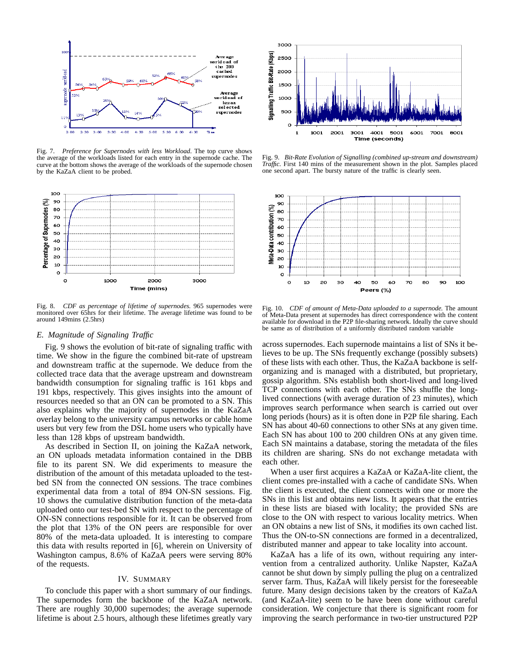

Fig. 7. *Preference for Supernodes with less Workload*. The top curve shows the average of the workloads listed for each entry in the supernode cache. The curve at the bottom shows the average of the workloads of the supernode chosen by the KaZaA client to be probed.



Fig. 8. *CDF as percentage of lifetime of supernodes.* 965 supernodes were monitored over 65hrs for their lifetime. The average lifetime was found to be around 149mins (2.5hrs)

# *E. Magnitude of Signaling Traffic*

Fig. 9 shows the evolution of bit-rate of signaling traffic with time. We show in the figure the combined bit-rate of upstream and downstream traffic at the supernode. We deduce from the collected trace data that the average upstream and downstream bandwidth consumption for signaling traffic is 161 kbps and 191 kbps, respectively. This gives insights into the amount of resources needed so that an ON can be promoted to a SN. This also explains why the majority of supernodes in the KaZaA overlay belong to the university campus networks or cable home users but very few from the DSL home users who typically have less than 128 kbps of upstream bandwidth.

As described in Section II, on joining the KaZaA network, an ON uploads metadata information contained in the DBB file to its parent SN. We did experiments to measure the distribution of the amount of this metadata uploaded to the testbed SN from the connected ON sessions. The trace combines experimental data from a total of 894 ON-SN sessions. Fig. 10 shows the cumulative distribution function of the meta-data uploaded onto our test-bed SN with respect to the percentage of ON-SN connections responsible for it. It can be observed from the plot that 13% of the ON peers are responsible for over 80% of the meta-data uploaded. It is interesting to compare this data with results reported in [6], wherein on University of Washington campus, 8.6% of KaZaA peers were serving 80% of the requests.

#### IV. SUMMARY

To conclude this paper with a short summary of our findings. The supernodes form the backbone of the KaZaA network. There are roughly 30,000 supernodes; the average supernode lifetime is about 2.5 hours, although these lifetimes greatly vary



Fig. 9. *Bit-Rate Evolution of Signalling (combined up-stream and downstream) Traffic.* First 140 mins of the measurement shown in the plot. Samples placed one second apart. The bursty nature of the traffic is clearly seen.



Fig. 10. *CDF of amount of Meta-Data uploaded to a supernode.* The amount of Meta-Data present at supernodes has direct correspondence with the content available for download in the P2P file-sharing network. Ideally the curve should be same as of distribution of a uniformly distributed random variable

across supernodes. Each supernode maintains a list of SNs it believes to be up. The SNs frequently exchange (possibly subsets) of these lists with each other. Thus, the KaZaA backbone is selforganizing and is managed with a distributed, but proprietary, gossip algorithm. SNs establish both short-lived and long-lived TCP connections with each other. The SNs shuffle the longlived connections (with average duration of 23 minutes), which improves search performance when search is carried out over long periods (hours) as it is often done in P2P file sharing. Each SN has about 40-60 connections to other SNs at any given time. Each SN has about 100 to 200 children ONs at any given time. Each SN maintains a database, storing the metadata of the files its children are sharing. SNs do not exchange metadata with each other.

When a user first acquires a KaZaA or KaZaA-lite client, the client comes pre-installed with a cache of candidate SNs. When the client is executed, the client connects with one or more the SNs in this list and obtains new lists. It appears that the entries in these lists are biased with locality; the provided SNs are close to the ON with respect to various locality metrics. When an ON obtains a new list of SNs, it modifies its own cached list. Thus the ON-to-SN connections are formed in a decentralized, distributed manner and appear to take locality into account.

KaZaA has a life of its own, without requiring any intervention from a centralized authority. Unlike Napster, KaZaA cannot be shut down by simply pulling the plug on a centralized server farm. Thus, KaZaA will likely persist for the foreseeable future. Many design decisions taken by the creators of KaZaA (and KaZaA-lite) seem to be have been done without careful consideration. We conjecture that there is significant room for improving the search performance in two-tier unstructured P2P